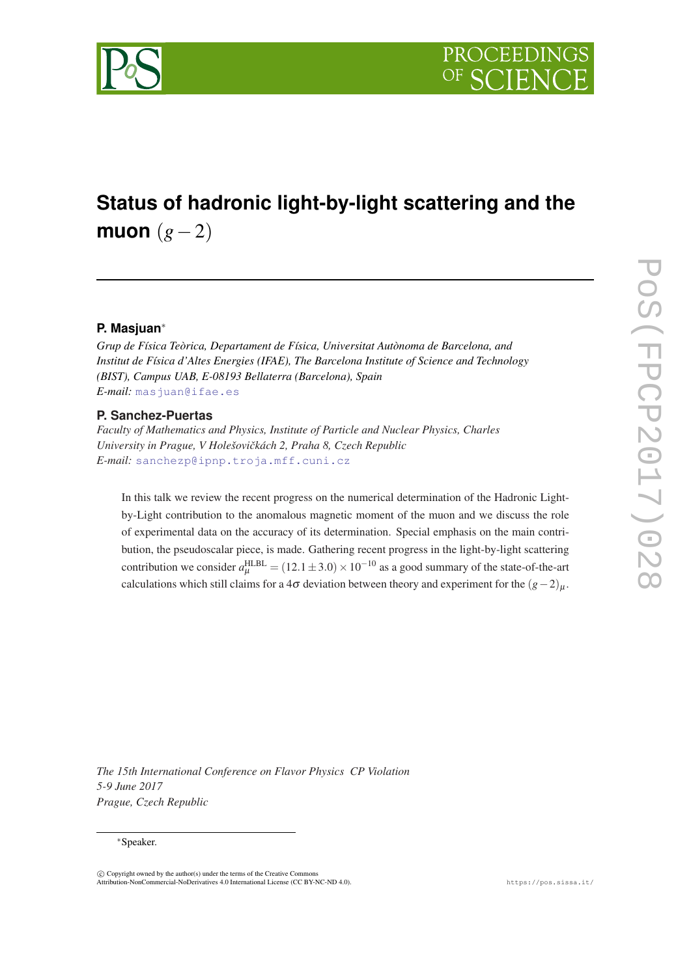

# **Status of hadronic light-by-light scattering and the muon** (*g*−2)

# **P. Masjuan**<sup>∗</sup>

*Grup de Física Teòrica, Departament de Física, Universitat Autònoma de Barcelona, and Institut de Física d'Altes Energies (IFAE), The Barcelona Institute of Science and Technology (BIST), Campus UAB, E-08193 Bellaterra (Barcelona), Spain E-mail:* [masjuan@ifae.es](mailto:masjuan@ifae.es)

## **P. Sanchez-Puertas**

*Faculty of Mathematics and Physics, Institute of Particle and Nuclear Physics, Charles University in Prague, V Holešoviˇckách 2, Praha 8, Czech Republic E-mail:* [sanchezp@ipnp.troja.mff.cuni.cz](mailto:sanchezp@ipnp.troja.mff.cuni.cz)

In this talk we review the recent progress on the numerical determination of the Hadronic Lightby-Light contribution to the anomalous magnetic moment of the muon and we discuss the role of experimental data on the accuracy of its determination. Special emphasis on the main contribution, the pseudoscalar piece, is made. Gathering recent progress in the light-by-light scattering contribution we consider  $a_{\mu}^{\text{HLBL}} = (12.1 \pm 3.0) \times 10^{-10}$  as a good summary of the state-of-the-art calculations which still claims for a 4 $\sigma$  deviation between theory and experiment for the  $(g-2)_{\mu}$ .

*The 15th International Conference on Flavor Physics CP Violation 5-9 June 2017 Prague, Czech Republic*

#### <sup>∗</sup>Speaker.

 $\overline{c}$  Copyright owned by the author(s) under the terms of the Creative Common Attribution-NonCommercial-NoDerivatives 4.0 International License (CC BY-NC-ND 4.0). https://pos.sissa.it/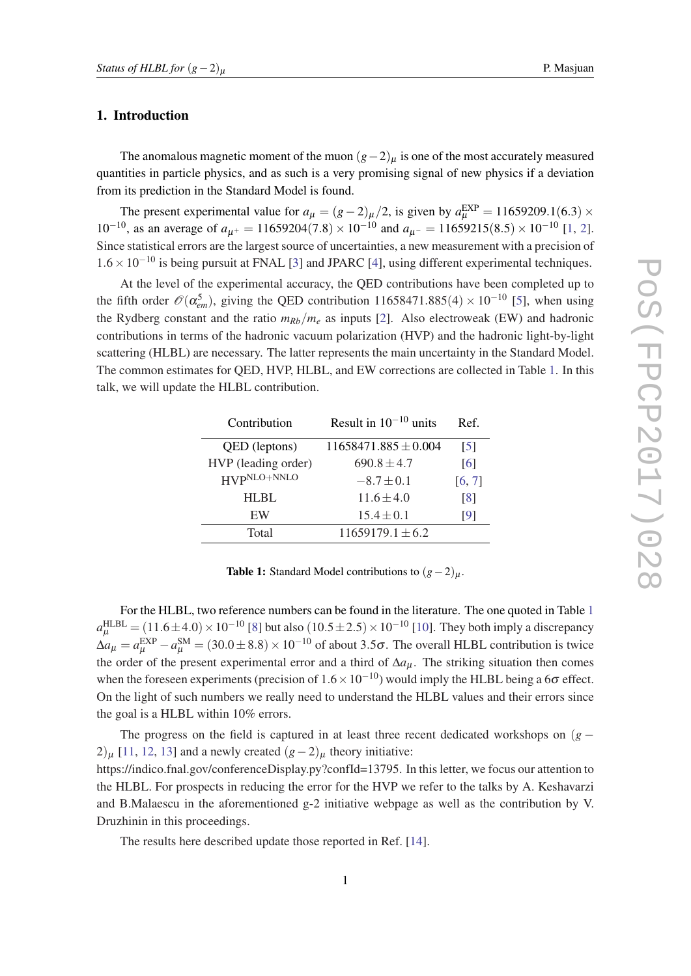## 1. Introduction

The anomalous magnetic moment of the muon  $(g-2)_{\mu}$  is one of the most accurately measured quantities in particle physics, and as such is a very promising signal of new physics if a deviation from its prediction in the Standard Model is found.

The present experimental value for  $a_{\mu} = (g-2)_{\mu}/2$ , is given by  $a_{\mu}^{EXP} = 11659209.1(6.3) \times$  $10^{-10}$  $10^{-10}$ , as an average of  $a_{\mu^+} = 11659204(7.8) \times 10^{-10}$  and  $a_{\mu^-} = 11659215(8.5) \times 10^{-10}$  [1, [2\]](#page-5-0). Since statistical errors are the largest source of uncertainties, a new measurement with a precision of  $1.6 \times 10^{-10}$  is being pursuit at FNAL [\[3\]](#page-5-0) and JPARC [[4\]](#page-5-0), using different experimental techniques.

At the level of the experimental accuracy, the QED contributions have been completed up to the fifth order  $\mathcal{O}(\alpha_{em}^5)$  $\mathcal{O}(\alpha_{em}^5)$  $\mathcal{O}(\alpha_{em}^5)$ , giving the QED contribution 11658471.885(4) × 10<sup>-10</sup> [5], when using the Rydberg constant and the ratio  $m_{Rb}/m_e$  as inputs [\[2\]](#page-5-0). Also electroweak (EW) and hadronic contributions in terms of the hadronic vacuum polarization (HVP) and the hadronic light-by-light scattering (HLBL) are necessary. The latter represents the main uncertainty in the Standard Model. The common estimates for QED, HVP, HLBL, and EW corrections are collected in Table 1. In this talk, we will update the HLBL contribution.

| Contribution        | Result in $10^{-10}$ units | Ref.              |
|---------------------|----------------------------|-------------------|
| QED (leptons)       | $11658471.885 \pm 0.004$   | [5]               |
| HVP (leading order) | $690.8 \pm 4.7$            | [6]               |
| HVPNLO+NNLO         | $-8.7 \pm 0.1$             | [6, 7]            |
| <b>HLBL</b>         | $11.6 \pm 4.0$             | $\lceil 8 \rceil$ |
| EW                  | $15.4 \pm 0.1$             | [9]               |
| Total               | $11659179.1 \pm 6.2$       |                   |
|                     |                            |                   |

**Table 1:** Standard Model contributions to  $(g-2)_{\mu}$ .

For the HLBL, two reference numbers can be found in the literature. The one quoted in Table 1  $a_{\mu}^{\rm HLEL}$  = (11.6±4.0) × 10<sup>-10</sup> [[8](#page-6-0)] but also ([10](#page-6-0).5±2.5) × 10<sup>-10</sup> [10]. They both imply a discrepancy  $\Delta a_{\mu} = a_{\mu}^{EXP} - a_{\mu}^{SM} = (30.0 \pm 8.8) \times 10^{-10}$  of about 3.5 $\sigma$ . The overall HLBL contribution is twice the order of the present experimental error and a third of  $\Delta a_{\mu}$ . The striking situation then comes when the foreseen experiments (precision of  $1.6 \times 10^{-10}$ ) would imply the HLBL being a 6 $\sigma$  effect. On the light of such numbers we really need to understand the HLBL values and their errors since the goal is a HLBL within 10% errors.

The progress on the field is captured in at least three recent dedicated workshops on  $(g -$ 2) $\mu$  [\[11](#page-6-0), [12,](#page-6-0) [13\]](#page-6-0) and a newly created  $(g-2)$  $\mu$  theory initiative:

https://indico.fnal.gov/conferenceDisplay.py?confId=13795. In this letter, we focus our attention to the HLBL. For prospects in reducing the error for the HVP we refer to the talks by A. Keshavarzi and B.Malaescu in the aforementioned g-2 initiative webpage as well as the contribution by V. Druzhinin in this proceedings.

The results here described update those reported in Ref. [\[14](#page-6-0)].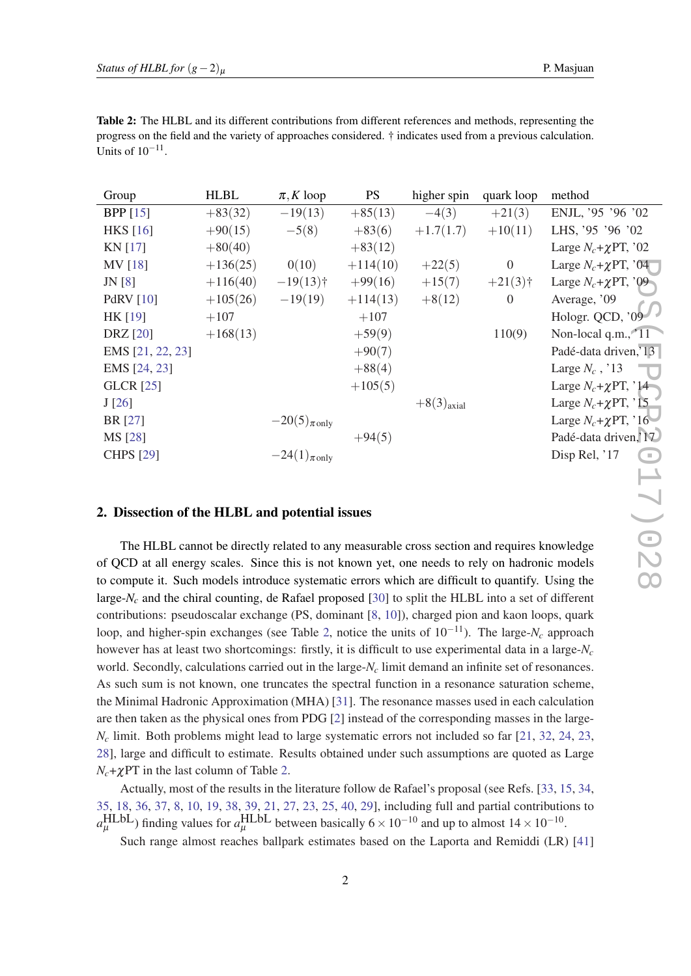| progress on the field and the variety of approaches considered. † indicates used from a previous calculation. |  |
|---------------------------------------------------------------------------------------------------------------|--|
| Units of $10^{-11}$ .                                                                                         |  |
|                                                                                                               |  |
|                                                                                                               |  |

<span id="page-2-0"></span>Table 2: The HLBL and its different contributions from different references and methods, representing the

| Group                                                                                             | <b>HLBL</b> | $\pi$ , K loop              | <b>PS</b>  | higher spin     | quark loop     | method                                    |  |
|---------------------------------------------------------------------------------------------------|-------------|-----------------------------|------------|-----------------|----------------|-------------------------------------------|--|
| <b>BPP</b> [15]                                                                                   | $+83(32)$   | $-19(13)$                   | $+85(13)$  | $-4(3)$         | $+21(3)$       | ENJL, '95 '96 '02                         |  |
| <b>HKS</b> [16]                                                                                   | $+90(15)$   | $-5(8)$                     | $+83(6)$   | $+1.7(1.7)$     | $+10(11)$      | LHS, '95 '96 '02                          |  |
| KN [17]                                                                                           | $+80(40)$   |                             | $+83(12)$  |                 |                | Large $N_c + \chi PT$ , '02               |  |
| MV [18]                                                                                           | $+136(25)$  | 0(10)                       | $+114(10)$ | $+22(5)$        | $\overline{0}$ | Large $N_c + \chi PT$ , '04               |  |
| JN[8]                                                                                             | $+116(40)$  | $-19(13)$ †                 | $+99(16)$  | $+15(7)$        | $+21(3)$ †     | Large $N_c + \chi PT$ , '09               |  |
| <b>PdRV</b> [10]                                                                                  | $+105(26)$  | $-19(19)$                   | $+114(13)$ | $+8(12)$        | $\overline{0}$ | Average, '09                              |  |
| HK [19]                                                                                           | $+107$      |                             | $+107$     |                 |                | Hologr. QCD, $0\sqrt{2}$                  |  |
| <b>DRZ</b> [20]                                                                                   | $+168(13)$  |                             | $+59(9)$   |                 | 110(9)         | Non-local q.m., $\sqrt{11}$               |  |
| EMS [21, 22, 23]                                                                                  |             |                             | $+90(7)$   |                 |                | Padé-data driven, <sup>713</sup>          |  |
| EMS [24, 23]                                                                                      |             |                             | $+88(4)$   |                 |                | Large $N_c$ , '13                         |  |
| <b>GLCR</b> [25]                                                                                  |             |                             | $+105(5)$  |                 |                | Large $N_c + \chi PT$ , '14               |  |
| J[26]                                                                                             |             |                             |            | $+8(3)_{axial}$ |                | Large $N_c + \chi PT$ , '15 <sup>-4</sup> |  |
| BR [27]                                                                                           |             | $-20(5)_{\pi \text{ only}}$ |            |                 |                | Large $N_c + \chi PT$ , '16               |  |
| MS [28]                                                                                           |             |                             | $+94(5)$   |                 |                | Padé-data driven, NV                      |  |
| <b>CHPS</b> [29]                                                                                  |             | $-24(1)_{\pi \text{ only}}$ |            |                 |                | Disp Rel, '17                             |  |
|                                                                                                   |             |                             |            |                 |                |                                           |  |
|                                                                                                   |             |                             |            |                 |                |                                           |  |
| 2. Dissection of the HLBL and potential issues                                                    |             |                             |            |                 |                |                                           |  |
|                                                                                                   |             |                             |            |                 |                |                                           |  |
| The HLBL cannot be directly related to any measurable cross section and requires knowledge        |             |                             |            |                 |                |                                           |  |
| of QCD at all energy scales. Since this is not known yet, one needs to rely on hadronic models    |             |                             |            |                 |                |                                           |  |
| to compute it. Such models introduce systematic errors which are difficult to quantify. Using the |             |                             |            |                 |                |                                           |  |

## 2. Dissection of the HLBL and potential issues

The HLBL cannot be directly related to any measurable cross section and requires knowledge of QCD at all energy scales. Since this is not known yet, one needs to rely on hadronic models to compute it. Such models introduce systematic errors which are difficult to quantify. Using the large-*N<sup>c</sup>* and the chiral counting, de Rafael proposed [[30\]](#page-6-0) to split the HLBL into a set of different contributions: pseudoscalar exchange (PS, dominant [\[8,](#page-6-0) [10](#page-6-0)]), charged pion and kaon loops, quark loop, and higher-spin exchanges (see Table 2, notice the units of 10−11). The large-*N<sup>c</sup>* approach however has at least two shortcomings: firstly, it is difficult to use experimental data in a large-*N<sup>c</sup>* world. Secondly, calculations carried out in the large-*N<sup>c</sup>* limit demand an infinite set of resonances. As such sum is not known, one truncates the spectral function in a resonance saturation scheme, the Minimal Hadronic Approximation (MHA) [[31](#page-6-0)]. The resonance masses used in each calculation are then taken as the physical ones from PDG [\[2\]](#page-5-0) instead of the corresponding masses in the large- $N_c$  limit. Both problems might lead to large systematic errors not included so far [[21,](#page-6-0) [32,](#page-6-0) [24](#page-6-0), [23](#page-6-0), [28](#page-6-0)], large and difficult to estimate. Results obtained under such assumptions are quoted as Large *Nc*+χPT in the last column of Table 2.

Actually, most of the results in the literature follow de Rafael's proposal (see Refs. [\[33](#page-6-0), [15](#page-6-0), [34](#page-6-0), [35](#page-6-0), [18,](#page-6-0) [36,](#page-6-0) [37](#page-6-0), [8](#page-6-0), [10,](#page-6-0) [19,](#page-6-0) [38](#page-7-0), [39,](#page-7-0) [21,](#page-6-0) [27](#page-6-0), [23,](#page-6-0) [25](#page-6-0), [40](#page-7-0), [29\]](#page-6-0), including full and partial contributions to  $a_{\mu}^{\text{HLbL}}$ ) finding values for  $a_{\mu}^{\text{HLbL}}$  between basically  $6 \times 10^{-10}$  and up to almost  $14 \times 10^{-10}$ .

Such range almost reaches ballpark estimates based on the Laporta and Remiddi (LR) [\[41](#page-7-0)]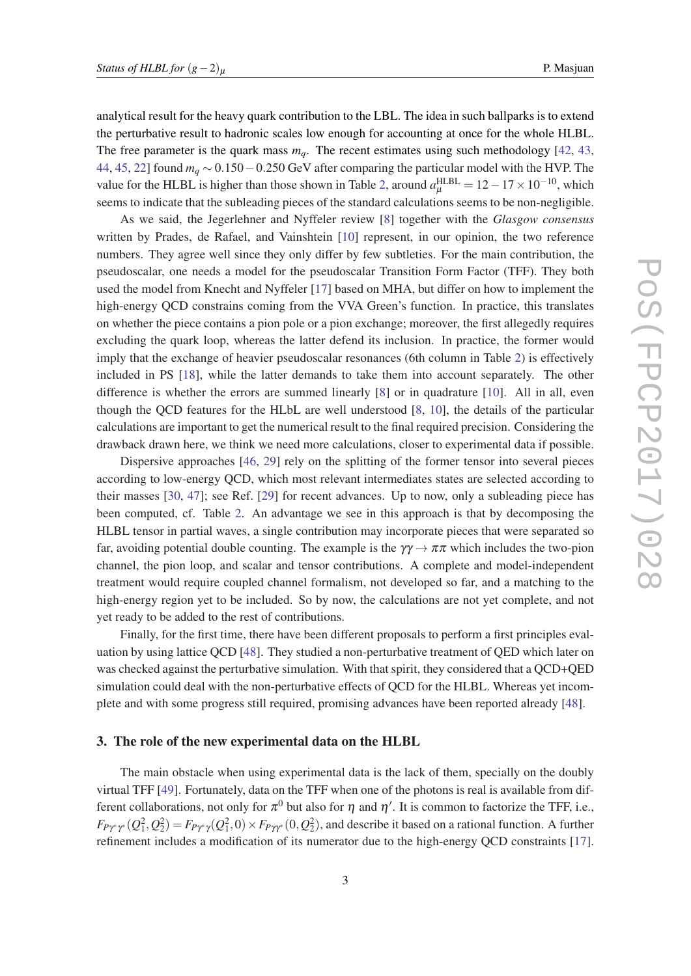analytical result for the heavy quark contribution to the LBL. The idea in such ballparks is to extend the perturbative result to hadronic scales low enough for accounting at once for the whole HLBL. The free parameter is the quark mass  $m_q$ . The recent estimates using such methodology [\[42](#page-7-0), [43](#page-7-0), [44](#page-7-0), [45](#page-7-0), [22](#page-6-0)] found *m<sup>q</sup>* ∼ 0.150−0.250 GeV after comparing the particular model with the HVP. The value for the HLBL is higher than those shown in Table [2](#page-2-0), around  $a_{\mu}^{\text{HLBL}} = 12 - 17 \times 10^{-10}$ , which seems to indicate that the subleading pieces of the standard calculations seems to be non-negligible.

As we said, the Jegerlehner and Nyffeler review [[8](#page-6-0)] together with the *Glasgow consensus* written by Prades, de Rafael, and Vainshtein [[10\]](#page-6-0) represent, in our opinion, the two reference numbers. They agree well since they only differ by few subtleties. For the main contribution, the pseudoscalar, one needs a model for the pseudoscalar Transition Form Factor (TFF). They both used the model from Knecht and Nyffeler [\[17](#page-6-0)] based on MHA, but differ on how to implement the high-energy QCD constrains coming from the VVA Green's function. In practice, this translates on whether the piece contains a pion pole or a pion exchange; moreover, the first allegedly requires excluding the quark loop, whereas the latter defend its inclusion. In practice, the former would imply that the exchange of heavier pseudoscalar resonances (6th column in Table [2](#page-2-0)) is effectively included in PS [[18](#page-6-0)], while the latter demands to take them into account separately. The other difference is whether the errors are summed linearly [[8](#page-6-0)] or in quadrature [[10](#page-6-0)]. All in all, even though the QCD features for the HLbL are well understood [\[8,](#page-6-0) [10\]](#page-6-0), the details of the particular calculations are important to get the numerical result to the final required precision. Considering the drawback drawn here, we think we need more calculations, closer to experimental data if possible.

Dispersive approaches [[46,](#page-7-0) [29](#page-6-0)] rely on the splitting of the former tensor into several pieces according to low-energy QCD, which most relevant intermediates states are selected according to their masses [[30](#page-6-0), [47](#page-7-0)]; see Ref. [\[29](#page-6-0)] for recent advances. Up to now, only a subleading piece has been computed, cf. Table [2.](#page-2-0) An advantage we see in this approach is that by decomposing the HLBL tensor in partial waves, a single contribution may incorporate pieces that were separated so far, avoiding potential double counting. The example is the  $\gamma\gamma \to \pi\pi$  which includes the two-pion channel, the pion loop, and scalar and tensor contributions. A complete and model-independent treatment would require coupled channel formalism, not developed so far, and a matching to the high-energy region yet to be included. So by now, the calculations are not yet complete, and not yet ready to be added to the rest of contributions.

Finally, for the first time, there have been different proposals to perform a first principles evaluation by using lattice QCD [\[48\]](#page-7-0). They studied a non-perturbative treatment of QED which later on was checked against the perturbative simulation. With that spirit, they considered that a QCD+QED simulation could deal with the non-perturbative effects of QCD for the HLBL. Whereas yet incomplete and with some progress still required, promising advances have been reported already [\[48](#page-7-0)].

## 3. The role of the new experimental data on the HLBL

The main obstacle when using experimental data is the lack of them, specially on the doubly virtual TFF [\[49\]](#page-7-0). Fortunately, data on the TFF when one of the photons is real is available from different collaborations, not only for  $\pi^0$  but also for  $\eta$  and  $\eta'$ . It is common to factorize the TFF, i.e.,  $F_{P\gamma^*\gamma^*}(Q_1^2,Q_2^2) = F_{P\gamma^*\gamma}(Q_1^2,0) \times F_{P\gamma\gamma^*}(0,Q_2^2)$ , and describe it based on a rational function. A further refinement includes a modification of its numerator due to the high-energy QCD constraints [[17\]](#page-6-0).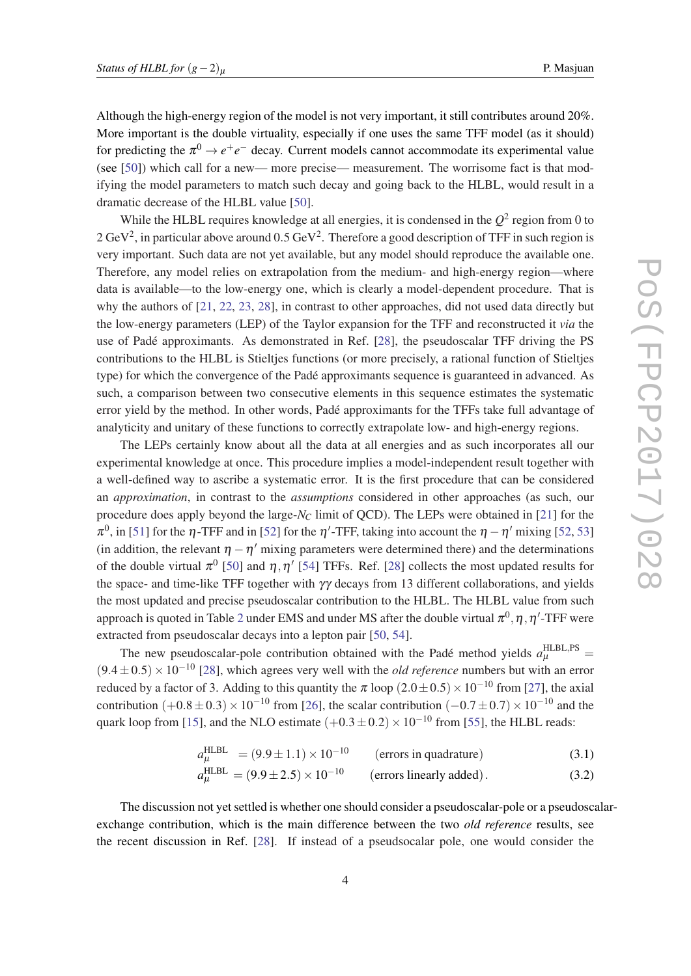<span id="page-4-0"></span>Although the high-energy region of the model is not very important, it still contributes around 20%. More important is the double virtuality, especially if one uses the same TFF model (as it should) for predicting the  $\pi^0 \rightarrow e^+e^-$  decay. Current models cannot accommodate its experimental value (see [[50\]](#page-7-0)) which call for a new— more precise— measurement. The worrisome fact is that modifying the model parameters to match such decay and going back to the HLBL, would result in a dramatic decrease of the HLBL value [\[50](#page-7-0)].

While the HLBL requires knowledge at all energies, it is condensed in the  $Q^2$  region from 0 to 2 GeV<sup>2</sup>, in particular above around  $0.5$  GeV<sup>2</sup>. Therefore a good description of TFF in such region is very important. Such data are not yet available, but any model should reproduce the available one. Therefore, any model relies on extrapolation from the medium- and high-energy region—where data is available—to the low-energy one, which is clearly a model-dependent procedure. That is why the authors of [\[21](#page-6-0), [22,](#page-6-0) [23,](#page-6-0) [28](#page-6-0)], in contrast to other approaches, did not used data directly but the low-energy parameters (LEP) of the Taylor expansion for the TFF and reconstructed it *via* the use of Padé approximants. As demonstrated in Ref. [[28\]](#page-6-0), the pseudoscalar TFF driving the PS contributions to the HLBL is Stieltjes functions (or more precisely, a rational function of Stieltjes type) for which the convergence of the Padé approximants sequence is guaranteed in advanced. As such, a comparison between two consecutive elements in this sequence estimates the systematic error yield by the method. In other words, Padé approximants for the TFFs take full advantage of analyticity and unitary of these functions to correctly extrapolate low- and high-energy regions.

The LEPs certainly know about all the data at all energies and as such incorporates all our experimental knowledge at once. This procedure implies a model-independent result together with a well-defined way to ascribe a systematic error. It is the first procedure that can be considered an *approximation*, in contrast to the *assumptions* considered in other approaches (as such, our procedure does apply beyond the large-*N<sup>C</sup>* limit of QCD). The LEPs were obtained in [[21](#page-6-0)] for the  $\pi^0$ , in [\[51](#page-7-0)] for the  $\eta$ -TFF and in [\[52](#page-7-0)] for the  $\eta'$ -TFF, taking into account the  $\eta-\eta'$  mixing [52, [53](#page-7-0)] (in addition, the relevant  $\eta - \eta'$  mixing parameters were determined there) and the determinations of the double virtual  $\pi^0$  [\[50\]](#page-7-0) and  $\eta$ ,  $\eta'$  [[54\]](#page-7-0) TFFs. Ref. [\[28](#page-6-0)] collects the most updated results for the space- and time-like TFF together with  $\gamma\gamma$  decays from 13 different collaborations, and yields the most updated and precise pseudoscalar contribution to the HLBL. The HLBL value from such approach is quoted in Table [2](#page-2-0) under EMS and under MS after the double virtual  $\pi^0, \eta, \eta^\prime$ -TFF were extracted from pseudoscalar decays into a lepton pair [[50,](#page-7-0) [54](#page-7-0)].

The new pseudoscalar-pole contribution obtained with the Padé method yields  $a_{\mu}^{\text{HLBL,PS}} =$ (9.4±0.5)×10−<sup>10</sup> [\[28\]](#page-6-0), which agrees very well with the *old reference* numbers but with an error reduced by a factor of 3. Adding to this quantity the  $\pi$  loop (2.0±0.5) × 10<sup>-10</sup> from [\[27](#page-6-0)], the axial contribution  $(+0.8 \pm 0.3) \times 10^{-10}$  from [\[26](#page-6-0)], the scalar contribution  $(-0.7 \pm 0.7) \times 10^{-10}$  and the quark loop from [[15\]](#page-6-0), and the NLO estimate  $(+0.3\pm0.2)\times10^{-10}$  from [\[55\]](#page-7-0), the HLBL reads:

$$
a_{\mu}^{\text{HLBL}} = (9.9 \pm 1.1) \times 10^{-10}
$$
 (errors in quadrature) (3.1)

$$
a_{\mu}^{\text{HLBL}} = (9.9 \pm 2.5) \times 10^{-10}
$$
 (errors linearly added). (3.2)

The discussion not yet settled is whether one should consider a pseudoscalar-pole or a pseudoscalarexchange contribution, which is the main difference between the two *old reference* results, see the recent discussion in Ref. [[28\]](#page-6-0). If instead of a pseudsocalar pole, one would consider the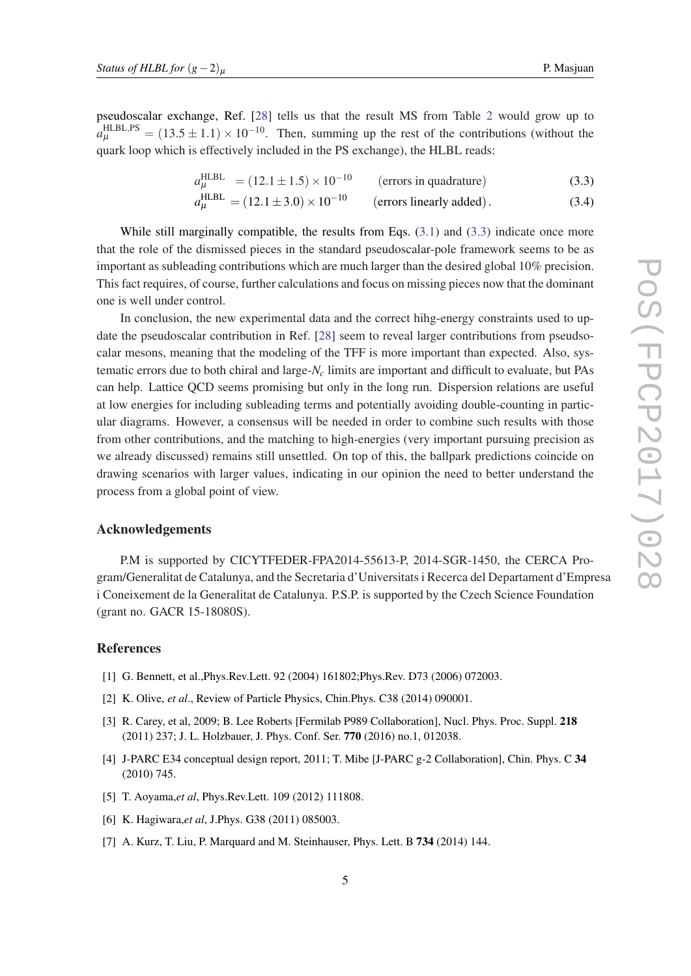<span id="page-5-0"></span>pseudoscalar exchange, Ref. [[28\]](#page-6-0) tells us that the result MS from Table [2](#page-2-0) would grow up to  $a_{\mu}^{\text{HLBL,PS}} = (13.5 \pm 1.1) \times 10^{-10}$ . Then, summing up the rest of the contributions (without the quark loop which is effectively included in the PS exchange), the HLBL reads:

$$
a_{\mu}^{\text{HLBL}} = (12.1 \pm 1.5) \times 10^{-10}
$$
 (errors in quadrature) (3.3)

$$
a_{\mu}^{\text{HLBL}} = (12.1 \pm 3.0) \times 10^{-10}
$$
 (errors linearly added). (3.4)

While still marginally compatible, the results from Eqs.  $(3.1)$  $(3.1)$  and  $(3.3)$  indicate once more that the role of the dismissed pieces in the standard pseudoscalar-pole framework seems to be as important as subleading contributions which are much larger than the desired global 10% precision. This fact requires, of course, further calculations and focus on missing pieces now that the dominant one is well under control.

In conclusion, the new experimental data and the correct hihg-energy constraints used to update the pseudoscalar contribution in Ref. [[28\]](#page-6-0) seem to reveal larger contributions from pseudsocalar mesons, meaning that the modeling of the TFF is more important than expected. Also, systematic errors due to both chiral and large-*N<sup>c</sup>* limits are important and difficult to evaluate, but PAs can help. Lattice QCD seems promising but only in the long run. Dispersion relations are useful at low energies for including subleading terms and potentially avoiding double-counting in particular diagrams. However, a consensus will be needed in order to combine such results with those from other contributions, and the matching to high-energies (very important pursuing precision as we already discussed) remains still unsettled. On top of this, the ballpark predictions coincide on drawing scenarios with larger values, indicating in our opinion the need to better understand the process from a global point of view.

## Acknowledgements

P.M is supported by CICYTFEDER-FPA2014-55613-P, 2014-SGR-1450, the CERCA Program/Generalitat de Catalunya, and the Secretaria d'Universitats i Recerca del Departament d'Empresa i Coneixement de la Generalitat de Catalunya. P.S.P. is supported by the Czech Science Foundation (grant no. GACR 15-18080S).

## References

- [1] G. Bennett, et al.,Phys.Rev.Lett. 92 (2004) 161802;Phys.Rev. D73 (2006) 072003.
- [2] K. Olive, *et al*., Review of Particle Physics, Chin.Phys. C38 (2014) 090001.
- [3] R. Carey, et al, 2009; B. Lee Roberts [Fermilab P989 Collaboration], Nucl. Phys. Proc. Suppl. 218 (2011) 237; J. L. Holzbauer, J. Phys. Conf. Ser. 770 (2016) no.1, 012038.
- [4] J-PARC E34 conceptual design report, 2011; T. Mibe [J-PARC g-2 Collaboration], Chin. Phys. C 34 (2010) 745.
- [5] T. Aoyama,*et al*, Phys.Rev.Lett. 109 (2012) 111808.
- [6] K. Hagiwara,*et al*, J.Phys. G38 (2011) 085003.
- [7] A. Kurz, T. Liu, P. Marquard and M. Steinhauser, Phys. Lett. B **734** (2014) 144.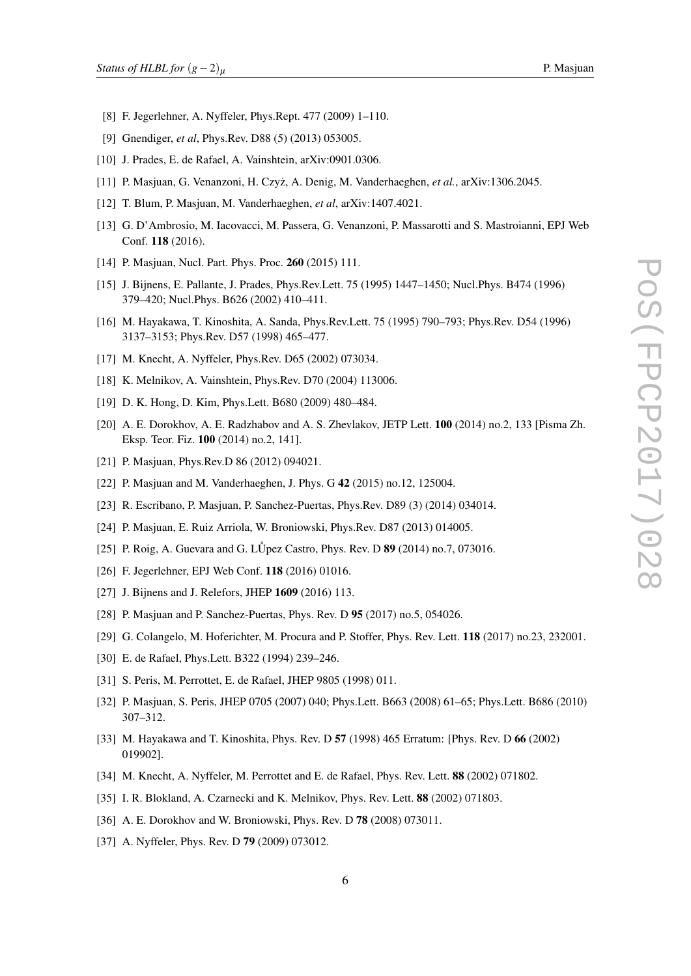- <span id="page-6-0"></span>[8] F. Jegerlehner, A. Nyffeler, Phys.Rept. 477 (2009) 1–110.
- [9] Gnendiger, *et al*, Phys.Rev. D88 (5) (2013) 053005.
- [10] J. Prades, E. de Rafael, A. Vainshtein, arXiv:0901.0306.
- [11] P. Masjuan, G. Venanzoni, H. Czyż, A. Denig, M. Vanderhaeghen, et al., arXiv:1306.2045.
- [12] T. Blum, P. Masjuan, M. Vanderhaeghen, *et al*, arXiv:1407.4021.
- [13] G. D'Ambrosio, M. Iacovacci, M. Passera, G. Venanzoni, P. Massarotti and S. Mastroianni, EPJ Web Conf. 118 (2016).
- [14] P. Masjuan, Nucl. Part. Phys. Proc. **260** (2015) 111.
- [15] J. Bijnens, E. Pallante, J. Prades, Phys.Rev.Lett. 75 (1995) 1447–1450; Nucl.Phys. B474 (1996) 379–420; Nucl.Phys. B626 (2002) 410–411.
- [16] M. Hayakawa, T. Kinoshita, A. Sanda, Phys.Rev.Lett. 75 (1995) 790–793; Phys.Rev. D54 (1996) 3137–3153; Phys.Rev. D57 (1998) 465–477.
- [17] M. Knecht, A. Nyffeler, Phys.Rev. D65 (2002) 073034.
- [18] K. Melnikov, A. Vainshtein, Phys.Rev. D70 (2004) 113006.
- [19] D. K. Hong, D. Kim, Phys.Lett. B680 (2009) 480–484.
- [20] A. E. Dorokhov, A. E. Radzhabov and A. S. Zhevlakov, JETP Lett. 100 (2014) no.2, 133 [Pisma Zh. Eksp. Teor. Fiz. 100 (2014) no.2, 141].
- [21] P. Masjuan, Phys.Rev.D 86 (2012) 094021.
- [22] P. Masjuan and M. Vanderhaeghen, J. Phys. G 42 (2015) no.12, 125004.
- [23] R. Escribano, P. Masjuan, P. Sanchez-Puertas, Phys.Rev. D89 (3) (2014) 034014.
- [24] P. Masjuan, E. Ruiz Arriola, W. Broniowski, Phys.Rev. D87 (2013) 014005.
- [25] P. Roig, A. Guevara and G. LU<sup>p</sup>ez Castro, Phys. Rev. D  $89$  (2014) no.7, 073016.
- [26] F. Jegerlehner, EPJ Web Conf. 118 (2016) 01016.
- [27] J. Bijnens and J. Relefors, JHEP 1609 (2016) 113.
- [28] P. Masjuan and P. Sanchez-Puertas, Phys. Rev. D 95 (2017) no.5, 054026.
- [29] G. Colangelo, M. Hoferichter, M. Procura and P. Stoffer, Phys. Rev. Lett. 118 (2017) no.23, 232001.
- [30] E. de Rafael, Phys.Lett. B322 (1994) 239-246.
- [31] S. Peris, M. Perrottet, E. de Rafael, JHEP 9805 (1998) 011.
- [32] P. Masjuan, S. Peris, JHEP 0705 (2007) 040; Phys.Lett. B663 (2008) 61–65; Phys.Lett. B686 (2010) 307–312.
- [33] M. Hayakawa and T. Kinoshita, Phys. Rev. D 57 (1998) 465 Erratum: [Phys. Rev. D 66 (2002) 019902].
- [34] M. Knecht, A. Nyffeler, M. Perrottet and E. de Rafael, Phys. Rev. Lett. 88 (2002) 071802.
- [35] I. R. Blokland, A. Czarnecki and K. Melnikov, Phys. Rev. Lett. 88 (2002) 071803.
- [36] A. E. Dorokhov and W. Broniowski, Phys. Rev. D 78 (2008) 073011.
- [37] A. Nyffeler, Phys. Rev. D **79** (2009) 073012.